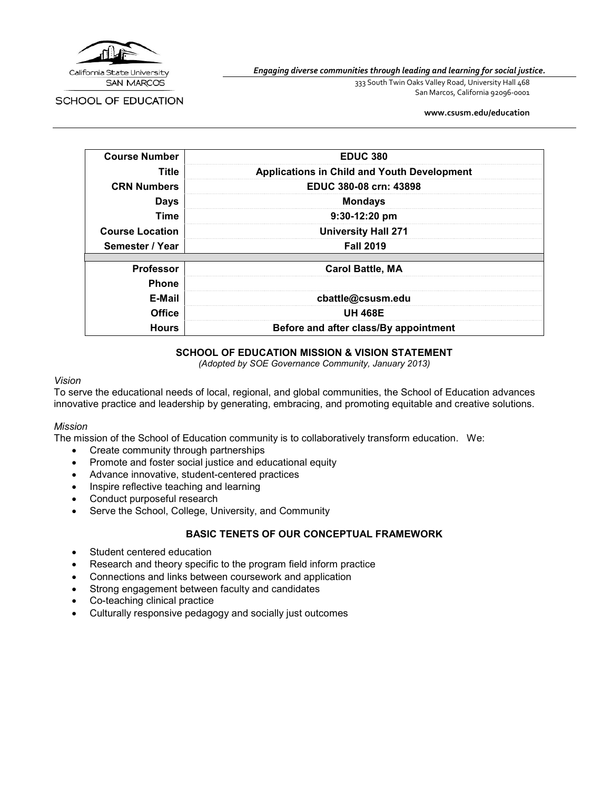

SCHOOL OF EDUCATION

*Engaging diverse communities through leading and learning for social justice.*

333 South Twin Oaks Valley Road, University Hall 468 San Marcos, California 92096-0001

**[www.csusm.edu/education](http://www.csusm.edu/education)**

| <b>Course Number</b>   | <b>EDUC 380</b>                                    |
|------------------------|----------------------------------------------------|
| Title                  | <b>Applications in Child and Youth Development</b> |
| <b>CRN Numbers</b>     | EDUC 380-08 crn: 43898                             |
| <b>Days</b>            | <b>Mondays</b>                                     |
| <b>Time</b>            | $9:30-12:20$ pm                                    |
| <b>Course Location</b> | <b>University Hall 271</b>                         |
| Semester / Year        | <b>Fall 2019</b>                                   |
|                        |                                                    |
| <b>Professor</b>       | <b>Carol Battle, MA</b>                            |
| <b>Phone</b>           |                                                    |
| E-Mail                 | cbattle@csusm.edu                                  |
| <b>Office</b>          | <b>UH 468E</b>                                     |
| <b>Hours</b>           | Before and after class/By appointment              |

#### **SCHOOL OF EDUCATION MISSION & VISION STATEMENT**

*(Adopted by SOE Governance Community, January 2013)*

#### *Vision*

To serve the educational needs of local, regional, and global communities, the School of Education advances innovative practice and leadership by generating, embracing, and promoting equitable and creative solutions.

#### *Mission*

The mission of the School of Education community is to collaboratively transform education. We:

- Create community through partnerships
- Promote and foster social justice and educational equity
- Advance innovative, student-centered practices
- Inspire reflective teaching and learning
- Conduct purposeful research
- Serve the School, College, University, and Community

#### **BASIC TENETS OF OUR CONCEPTUAL FRAMEWORK**

- Student centered education
- Research and theory specific to the program field inform practice
- Connections and links between coursework and application
- Strong engagement between faculty and candidates
- Co-teaching clinical practice
- Culturally responsive pedagogy and socially just outcomes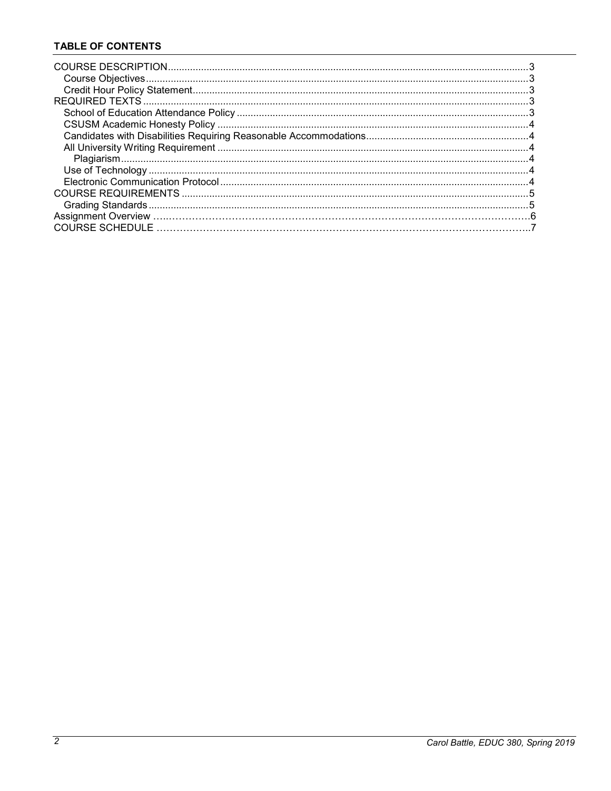# **TABLE OF CONTENTS**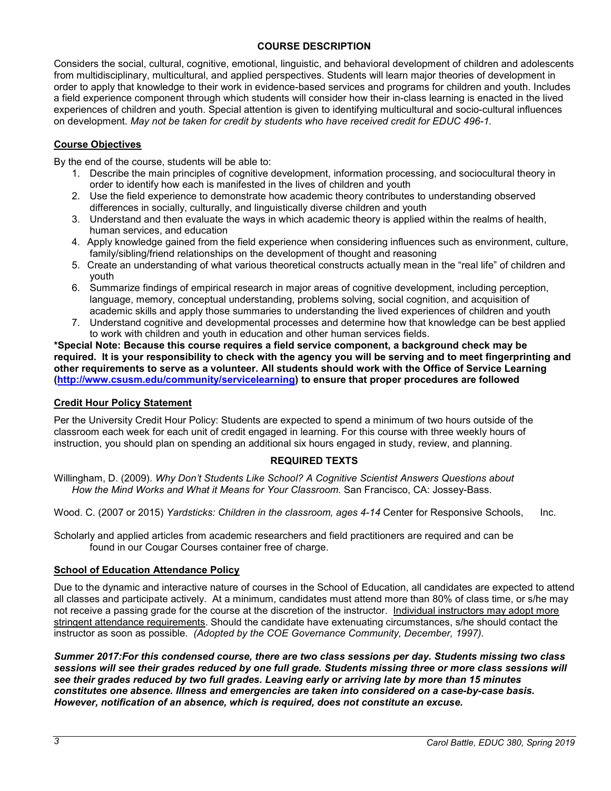## **COURSE DESCRIPTION**

Considers the social, cultural, cognitive, emotional, linguistic, and behavioral development of children and adolescents from multidisciplinary, multicultural, and applied perspectives. Students will learn major theories of development in order to apply that knowledge to their work in evidence-based services and programs for children and youth. Includes a field experience component through which students will consider how their in-class learning is enacted in the lived experiences of children and youth. Special attention is given to identifying multicultural and socio-cultural influences on development. *May not be taken for credit by students who have received credit for EDUC 496-1.*

#### **Course Objectives**

By the end of the course, students will be able to:

- 1. Describe the main principles of cognitive development, information processing, and sociocultural theory in order to identify how each is manifested in the lives of children and youth
- 2. Use the field experience to demonstrate how academic theory contributes to understanding observed differences in socially, culturally, and linguistically diverse children and youth
- 3. Understand and then evaluate the ways in which academic theory is applied within the realms of health, human services, and education
- 4. Apply knowledge gained from the field experience when considering influences such as environment, culture, family/sibling/friend relationships on the development of thought and reasoning
- 5. Create an understanding of what various theoretical constructs actually mean in the "real life" of children and youth
- 6. Summarize findings of empirical research in major areas of cognitive development, including perception, language, memory, conceptual understanding, problems solving, social cognition, and acquisition of academic skills and apply those summaries to understanding the lived experiences of children and youth
- 7. Understand cognitive and developmental processes and determine how that knowledge can be best applied to work with children and youth in education and other human services fields.

**\*Special Note: Because this course requires a field service component, a background check may be required. It is your responsibility to check with the agency you will be serving and to meet fingerprinting and other requirements to serve as a volunteer. All students should work with the Office of Service Learning [\(http://www.csusm.edu/community/servicelearning\)](http://www.csusm.edu/community/servicelearning) to ensure that proper procedures are followed**

#### **Credit Hour Policy Statement**

Per the University Credit Hour Policy: Students are expected to spend a minimum of two hours outside of the classroom each week for each unit of credit engaged in learning. For this course with three weekly hours of instruction, you should plan on spending an additional six hours engaged in study, review, and planning.

# **REQUIRED TEXTS**

Willingham, D. (2009). *Why Don't Students Like School? A Cognitive Scientist Answers Questions about How the Mind Works and What it Means for Your Classroom.* San Francisco, CA: Jossey-Bass.

Wood. C. (2007 or 2015) *Yardsticks: Children in the classroom, ages 4-14* Center for Responsive Schools, Inc.

Scholarly and applied articles from academic researchers and field practitioners are required and can be found in our Cougar Courses container free of charge.

#### **School of Education Attendance Policy**

Due to the dynamic and interactive nature of courses in the School of Education, all candidates are expected to attend all classes and participate actively. At a minimum, candidates must attend more than 80% of class time, or s/he may not receive a passing grade for the course at the discretion of the instructor. Individual instructors may adopt more stringent attendance requirements. Should the candidate have extenuating circumstances, s/he should contact the instructor as soon as possible. *(Adopted by the COE Governance Community, December, 1997).*

*Summer 2017:For this condensed course, there are two class sessions per day. Students missing two class sessions will see their grades reduced by one full grade. Students missing three or more class sessions will see their grades reduced by two full grades. Leaving early or arriving late by more than 15 minutes constitutes one absence. Illness and emergencies are taken into considered on a case-by-case basis. However, notification of an absence, which is required, does not constitute an excuse.*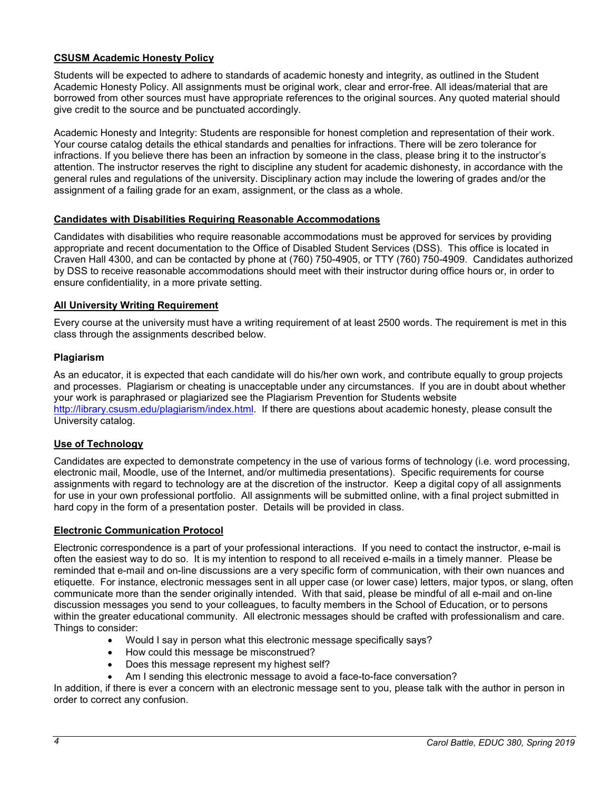### **CSUSM Academic Honesty Policy**

Students will be expected to adhere to standards of academic honesty and integrity, as outlined in the Student Academic Honesty Policy. All assignments must be original work, clear and error-free. All ideas/material that are borrowed from other sources must have appropriate references to the original sources. Any quoted material should give credit to the source and be punctuated accordingly.

Academic Honesty and Integrity: Students are responsible for honest completion and representation of their work. Your course catalog details the ethical standards and penalties for infractions. There will be zero tolerance for infractions. If you believe there has been an infraction by someone in the class, please bring it to the instructor's attention. The instructor reserves the right to discipline any student for academic dishonesty, in accordance with the general rules and regulations of the university. Disciplinary action may include the lowering of grades and/or the assignment of a failing grade for an exam, assignment, or the class as a whole.

#### **Candidates with Disabilities Requiring Reasonable Accommodations**

Candidates with disabilities who require reasonable accommodations must be approved for services by providing appropriate and recent documentation to the Office of Disabled Student Services (DSS). This office is located in Craven Hall 4300, and can be contacted by phone at (760) 750-4905, or TTY (760) 750-4909. Candidates authorized by DSS to receive reasonable accommodations should meet with their instructor during office hours or, in order to ensure confidentiality, in a more private setting.

#### **All University Writing Requirement**

Every course at the university must have a writing requirement of at least 2500 words. The requirement is met in this class through the assignments described below.

#### **Plagiarism**

As an educator, it is expected that each candidate will do his/her own work, and contribute equally to group projects and processes. Plagiarism or cheating is unacceptable under any circumstances. If you are in doubt about whether your work is paraphrased or plagiarized see the Plagiarism Prevention for Students website [http://library.csusm.edu/plagiarism/index.html.](http://library.csusm.edu/plagiarism/index.html) If there are questions about academic honesty, please consult the University catalog.

#### **Use of Technology**

Candidates are expected to demonstrate competency in the use of various forms of technology (i.e. word processing, electronic mail, Moodle, use of the Internet, and/or multimedia presentations). Specific requirements for course assignments with regard to technology are at the discretion of the instructor. Keep a digital copy of all assignments for use in your own professional portfolio. All assignments will be submitted online, with a final project submitted in hard copy in the form of a presentation poster. Details will be provided in class.

#### **Electronic Communication Protocol**

Electronic correspondence is a part of your professional interactions. If you need to contact the instructor, e-mail is often the easiest way to do so. It is my intention to respond to all received e-mails in a timely manner. Please be reminded that e-mail and on-line discussions are a very specific form of communication, with their own nuances and etiquette. For instance, electronic messages sent in all upper case (or lower case) letters, major typos, or slang, often communicate more than the sender originally intended. With that said, please be mindful of all e-mail and on-line discussion messages you send to your colleagues, to faculty members in the School of Education, or to persons within the greater educational community. All electronic messages should be crafted with professionalism and care. Things to consider:

- Would I say in person what this electronic message specifically says?
- How could this message be misconstrued?
- Does this message represent my highest self?
- Am I sending this electronic message to avoid a face-to-face conversation?

In addition, if there is ever a concern with an electronic message sent to you, please talk with the author in person in order to correct any confusion.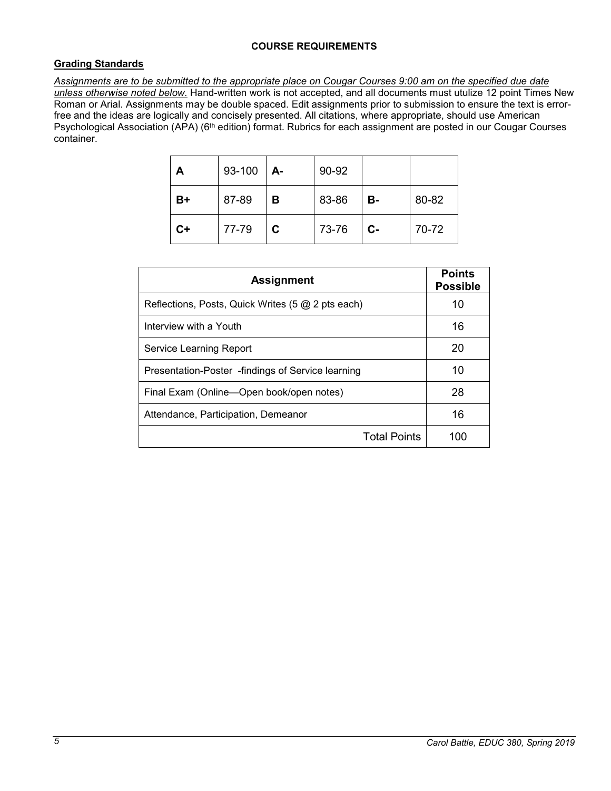## **Grading Standards**

*Assignments are to be submitted to the appropriate place on Cougar Courses 9:00 am on the specified due date unless otherwise noted below.* Hand-written work is not accepted, and all documents must utulize 12 point Times New Roman or Arial. Assignments may be double spaced. Edit assignments prior to submission to ensure the text is errorfree and the ideas are logically and concisely presented. All citations, where appropriate, should use American Psychological Association (APA) (6<sup>th</sup> edition) format. Rubrics for each assignment are posted in our Cougar Courses container.

| А    | 93-100 | А- | 90-92 |       |       |
|------|--------|----|-------|-------|-------|
| B+   | 87-89  | в  | 83-86 | В-    | 80-82 |
| $C+$ | 77-79  | C  | 73-76 | $C -$ | 70-72 |

| <b>Assignment</b>                                 | <b>Points</b><br><b>Possible</b> |
|---------------------------------------------------|----------------------------------|
| Reflections, Posts, Quick Writes (5 @ 2 pts each) | 10                               |
| Interview with a Youth                            | 16                               |
| Service Learning Report                           | 20                               |
| Presentation-Poster -findings of Service learning | 10                               |
| Final Exam (Online—Open book/open notes)          | 28                               |
| Attendance, Participation, Demeanor               | 16                               |
| <b>Total Points</b>                               | 100                              |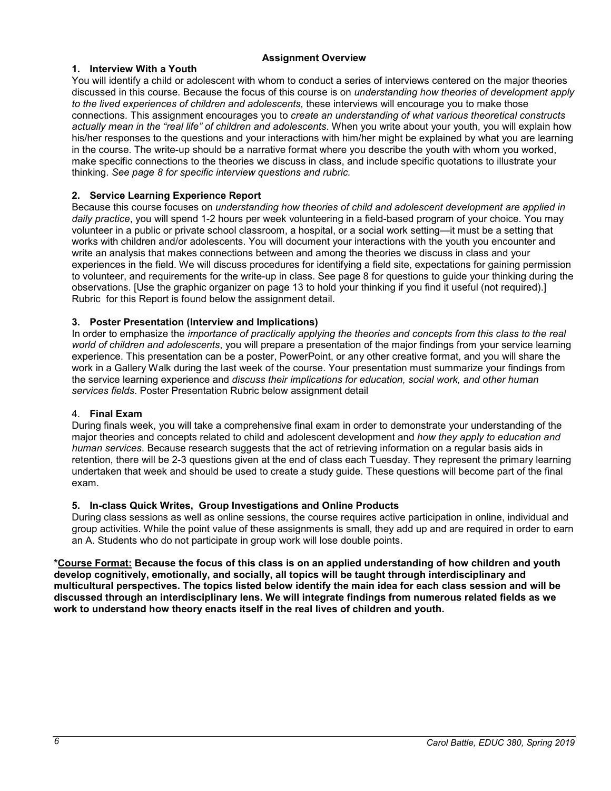#### **Assignment Overview**

### **1. Interview With a Youth**

You will identify a child or adolescent with whom to conduct a series of interviews centered on the major theories discussed in this course. Because the focus of this course is on *understanding how theories of development apply to the lived experiences of children and adolescents,* these interviews will encourage you to make those connections*.* This assignment encourages you to *create an understanding of what various theoretical constructs actually mean in the "real life" of children and adolescents*. When you write about your youth, you will explain how his/her responses to the questions and your interactions with him/her might be explained by what you are learning in the course. The write-up should be a narrative format where you describe the youth with whom you worked, make specific connections to the theories we discuss in class, and include specific quotations to illustrate your thinking. *See page 8 for specific interview questions and rubric.*

#### **2. Service Learning Experience Report**

Because this course focuses on *understanding how theories of child and adolescent development are applied in daily practice*, you will spend 1-2 hours per week volunteering in a field-based program of your choice. You may volunteer in a public or private school classroom, a hospital, or a social work setting—it must be a setting that works with children and/or adolescents. You will document your interactions with the youth you encounter and write an analysis that makes connections between and among the theories we discuss in class and your experiences in the field. We will discuss procedures for identifying a field site, expectations for gaining permission to volunteer, and requirements for the write-up in class. See page 8 for questions to guide your thinking during the observations. [Use the graphic organizer on page 13 to hold your thinking if you find it useful (not required).] Rubric for this Report is found below the assignment detail.

#### **3. Poster Presentation (Interview and Implications)**

In order to emphasize the *importance of practically applying the theories and concepts from this class to the real world of children and adolescents*, you will prepare a presentation of the major findings from your service learning experience. This presentation can be a poster, PowerPoint, or any other creative format, and you will share the work in a Gallery Walk during the last week of the course. Your presentation must summarize your findings from the service learning experience and *discuss their implications for education, social work, and other human services fields*. Poster Presentation Rubric below assignment detail

#### 4. **Final Exam**

During finals week, you will take a comprehensive final exam in order to demonstrate your understanding of the major theories and concepts related to child and adolescent development and *how they apply to education and human services*. Because research suggests that the act of retrieving information on a regular basis aids in retention, there will be 2-3 questions given at the end of class each Tuesday. They represent the primary learning undertaken that week and should be used to create a study guide. These questions will become part of the final exam.

#### **5. In-class Quick Writes, Group Investigations and Online Products**

During class sessions as well as online sessions, the course requires active participation in online, individual and group activities. While the point value of these assignments is small, they add up and are required in order to earn an A. Students who do not participate in group work will lose double points.

**\*Course Format: Because the focus of this class is on an applied understanding of how children and youth develop cognitively, emotionally, and socially, all topics will be taught through interdisciplinary and multicultural perspectives. The topics listed below identify the main idea for each class session and will be discussed through an interdisciplinary lens. We will integrate findings from numerous related fields as we work to understand how theory enacts itself in the real lives of children and youth.**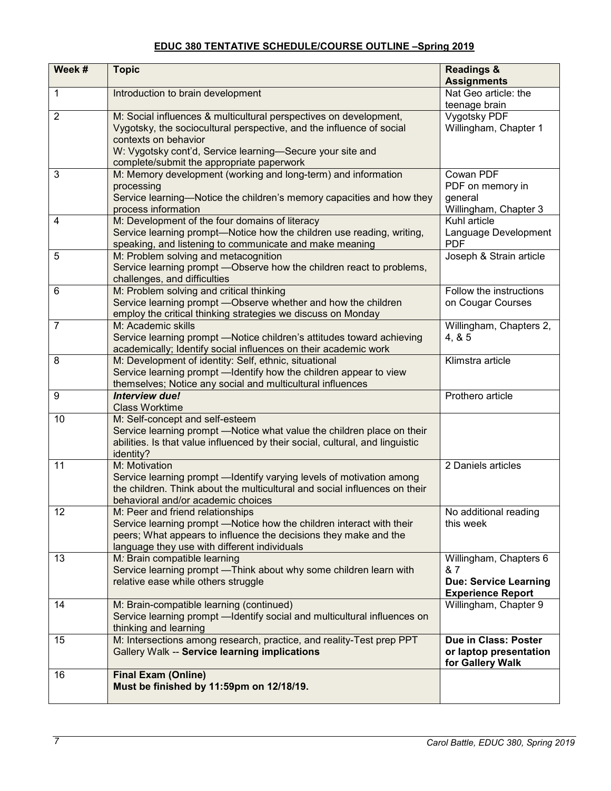# **EDUC 380 TENTATIVE SCHEDULE/COURSE OUTLINE –Spring 2019**

| Week #         | <b>Topic</b>                                                                                                                                                                                                                                                                | <b>Readings &amp;</b><br><b>Assignments</b>                                               |
|----------------|-----------------------------------------------------------------------------------------------------------------------------------------------------------------------------------------------------------------------------------------------------------------------------|-------------------------------------------------------------------------------------------|
| 1              | Introduction to brain development                                                                                                                                                                                                                                           | Nat Geo article: the<br>teenage brain                                                     |
| $\overline{2}$ | M: Social influences & multicultural perspectives on development,<br>Vygotsky, the sociocultural perspective, and the influence of social<br>contexts on behavior<br>W: Vygotsky cont'd, Service learning-Secure your site and<br>complete/submit the appropriate paperwork | Vygotsky PDF<br>Willingham, Chapter 1                                                     |
| 3              | M: Memory development (working and long-term) and information<br>processing<br>Service learning-Notice the children's memory capacities and how they<br>process information                                                                                                 | Cowan PDF<br>PDF on memory in<br>general<br>Willingham, Chapter 3                         |
| 4              | M: Development of the four domains of literacy<br>Service learning prompt-Notice how the children use reading, writing,<br>speaking, and listening to communicate and make meaning                                                                                          | Kuhl article<br>Language Development<br><b>PDF</b>                                        |
| 5              | M: Problem solving and metacognition<br>Service learning prompt - Observe how the children react to problems,<br>challenges, and difficulties                                                                                                                               | Joseph & Strain article                                                                   |
| 6              | M: Problem solving and critical thinking<br>Service learning prompt - Observe whether and how the children<br>employ the critical thinking strategies we discuss on Monday                                                                                                  | Follow the instructions<br>on Cougar Courses                                              |
| 7              | M: Academic skills<br>Service learning prompt - Notice children's attitudes toward achieving<br>academically; Identify social influences on their academic work                                                                                                             | Willingham, Chapters 2,<br>4, 8, 5                                                        |
| 8              | M: Development of identity: Self, ethnic, situational<br>Service learning prompt - Identify how the children appear to view<br>themselves; Notice any social and multicultural influences                                                                                   | Klimstra article                                                                          |
| 9              | <b>Interview due!</b><br><b>Class Worktime</b>                                                                                                                                                                                                                              | Prothero article                                                                          |
| 10             | M: Self-concept and self-esteem<br>Service learning prompt - Notice what value the children place on their<br>abilities. Is that value influenced by their social, cultural, and linguistic<br>identity?                                                                    |                                                                                           |
| 11             | M: Motivation<br>Service learning prompt - Identify varying levels of motivation among<br>the children. Think about the multicultural and social influences on their<br>behavioral and/or academic choices                                                                  | 2 Daniels articles                                                                        |
| 12             | M: Peer and friend relationships<br>Service learning prompt - Notice how the children interact with their<br>peers; What appears to influence the decisions they make and the<br>language they use with different individuals                                               | No additional reading<br>this week                                                        |
| 13             | M. Brain compatible learning<br>Service learning prompt - Think about why some children learn with<br>relative ease while others struggle                                                                                                                                   | Willingham, Chapters 6<br>& 7<br><b>Due: Service Learning</b><br><b>Experience Report</b> |
| 14             | M: Brain-compatible learning (continued)<br>Service learning prompt - Identify social and multicultural influences on<br>thinking and learning                                                                                                                              | Willingham, Chapter 9                                                                     |
| 15             | M: Intersections among research, practice, and reality-Test prep PPT<br>Gallery Walk -- Service learning implications                                                                                                                                                       | Due in Class: Poster<br>or laptop presentation<br>for Gallery Walk                        |
| 16             | <b>Final Exam (Online)</b><br>Must be finished by 11:59pm on 12/18/19.                                                                                                                                                                                                      |                                                                                           |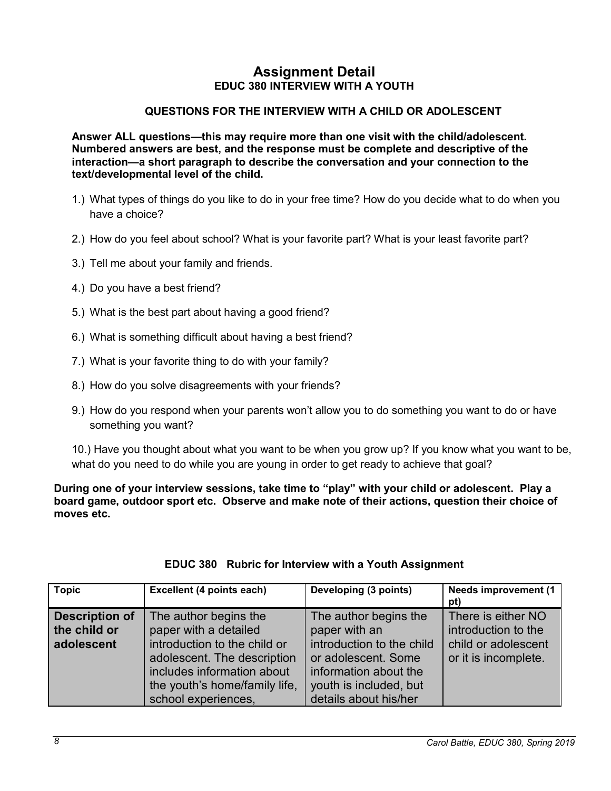# **Assignment Detail EDUC 380 INTERVIEW WITH A YOUTH**

# **QUESTIONS FOR THE INTERVIEW WITH A CHILD OR ADOLESCENT**

**Answer ALL questions—this may require more than one visit with the child/adolescent. Numbered answers are best, and the response must be complete and descriptive of the interaction—a short paragraph to describe the conversation and your connection to the text/developmental level of the child.**

- 1.) What types of things do you like to do in your free time? How do you decide what to do when you have a choice?
- 2.) How do you feel about school? What is your favorite part? What is your least favorite part?
- 3.) Tell me about your family and friends.
- 4.) Do you have a best friend?
- 5.) What is the best part about having a good friend?
- 6.) What is something difficult about having a best friend?
- 7.) What is your favorite thing to do with your family?
- 8.) How do you solve disagreements with your friends?
- 9.) How do you respond when your parents won't allow you to do something you want to do or have something you want?

10.) Have you thought about what you want to be when you grow up? If you know what you want to be, what do you need to do while you are young in order to get ready to achieve that goal?

**During one of your interview sessions, take time to "play" with your child or adolescent. Play a board game, outdoor sport etc. Observe and make note of their actions, question their choice of moves etc.** 

| Topic                                               | Excellent (4 points each)                                                                                                                                                                           | Developing (3 points)                                                                                                                                                  | <b>Needs improvement (1</b><br>pt)                                                       |
|-----------------------------------------------------|-----------------------------------------------------------------------------------------------------------------------------------------------------------------------------------------------------|------------------------------------------------------------------------------------------------------------------------------------------------------------------------|------------------------------------------------------------------------------------------|
| <b>Description of</b><br>the child or<br>adolescent | The author begins the<br>paper with a detailed<br>introduction to the child or<br>adolescent. The description<br>includes information about<br>the youth's home/family life,<br>school experiences, | The author begins the<br>paper with an<br>introduction to the child<br>or adolescent. Some<br>information about the<br>youth is included, but<br>details about his/her | There is either NO<br>introduction to the<br>child or adolescent<br>or it is incomplete. |

# **EDUC 380 Rubric for Interview with a Youth Assignment**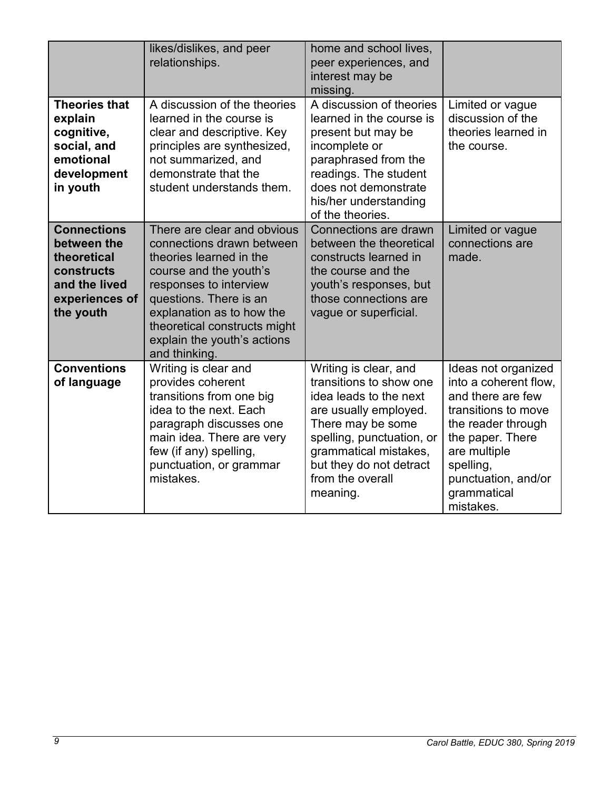|                                                                                                                | likes/dislikes, and peer<br>relationships.                                                                                                                                                                                                                                     | home and school lives,<br>peer experiences, and<br>interest may be<br>missing.                                                                                                                                                            |                                                                                                                                                                                                                    |
|----------------------------------------------------------------------------------------------------------------|--------------------------------------------------------------------------------------------------------------------------------------------------------------------------------------------------------------------------------------------------------------------------------|-------------------------------------------------------------------------------------------------------------------------------------------------------------------------------------------------------------------------------------------|--------------------------------------------------------------------------------------------------------------------------------------------------------------------------------------------------------------------|
| <b>Theories that</b><br>explain<br>cognitive,<br>social, and<br>emotional<br>development<br>in youth           | A discussion of the theories<br>learned in the course is<br>clear and descriptive. Key<br>principles are synthesized,<br>not summarized, and<br>demonstrate that the<br>student understands them.                                                                              | A discussion of theories<br>learned in the course is<br>present but may be<br>incomplete or<br>paraphrased from the<br>readings. The student<br>does not demonstrate<br>his/her understanding<br>of the theories.                         | Limited or vague<br>discussion of the<br>theories learned in<br>the course.                                                                                                                                        |
| <b>Connections</b><br>between the<br>theoretical<br>constructs<br>and the lived<br>experiences of<br>the youth | There are clear and obvious<br>connections drawn between<br>theories learned in the<br>course and the youth's<br>responses to interview<br>questions. There is an<br>explanation as to how the<br>theoretical constructs might<br>explain the youth's actions<br>and thinking. | Connections are drawn<br>between the theoretical<br>constructs learned in<br>the course and the<br>youth's responses, but<br>those connections are<br>vague or superficial.                                                               | Limited or vague<br>connections are<br>made.                                                                                                                                                                       |
| <b>Conventions</b><br>of language                                                                              | Writing is clear and<br>provides coherent<br>transitions from one big<br>idea to the next. Each<br>paragraph discusses one<br>main idea. There are very<br>few (if any) spelling,<br>punctuation, or grammar<br>mistakes.                                                      | Writing is clear, and<br>transitions to show one<br>idea leads to the next<br>are usually employed.<br>There may be some<br>spelling, punctuation, or<br>grammatical mistakes,<br>but they do not detract<br>from the overall<br>meaning. | Ideas not organized<br>into a coherent flow,<br>and there are few<br>transitions to move<br>the reader through<br>the paper. There<br>are multiple<br>spelling,<br>punctuation, and/or<br>grammatical<br>mistakes. |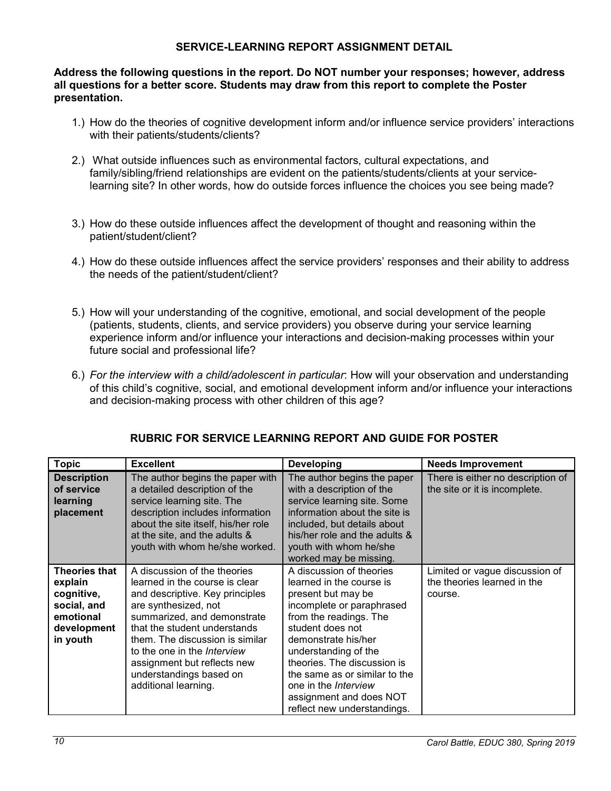# **SERVICE-LEARNING REPORT ASSIGNMENT DETAIL**

**Address the following questions in the report. Do NOT number your responses; however, address all questions for a better score. Students may draw from this report to complete the Poster presentation.**

- 1.) How do the theories of cognitive development inform and/or influence service providers' interactions with their patients/students/clients?
- 2.) What outside influences such as environmental factors, cultural expectations, and family/sibling/friend relationships are evident on the patients/students/clients at your servicelearning site? In other words, how do outside forces influence the choices you see being made?
- 3.) How do these outside influences affect the development of thought and reasoning within the patient/student/client?
- 4.) How do these outside influences affect the service providers' responses and their ability to address the needs of the patient/student/client?
- 5.) How will your understanding of the cognitive, emotional, and social development of the people (patients, students, clients, and service providers) you observe during your service learning experience inform and/or influence your interactions and decision-making processes within your future social and professional life?
- 6.) *For the interview with a child/adolescent in particular*: How will your observation and understanding of this child's cognitive, social, and emotional development inform and/or influence your interactions and decision-making process with other children of this age?

| <b>Topic</b>                                                                                         | <b>Excellent</b>                                                                                                                                                                                                                                                                                                                                    | <b>Developing</b>                                                                                                                                                                                                                                                                                                                                             | <b>Needs Improvement</b>                                                 |
|------------------------------------------------------------------------------------------------------|-----------------------------------------------------------------------------------------------------------------------------------------------------------------------------------------------------------------------------------------------------------------------------------------------------------------------------------------------------|---------------------------------------------------------------------------------------------------------------------------------------------------------------------------------------------------------------------------------------------------------------------------------------------------------------------------------------------------------------|--------------------------------------------------------------------------|
| <b>Description</b><br>of service<br>learning<br>placement                                            | The author begins the paper with<br>a detailed description of the<br>service learning site. The<br>description includes information<br>about the site itself, his/her role<br>at the site, and the adults &<br>youth with whom he/she worked.                                                                                                       | The author begins the paper<br>with a description of the<br>service learning site. Some<br>information about the site is<br>included, but details about<br>his/her role and the adults &<br>youth with whom he/she<br>worked may be missing.                                                                                                                  | There is either no description of<br>the site or it is incomplete.       |
| <b>Theories that</b><br>explain<br>cognitive,<br>social, and<br>emotional<br>development<br>in youth | A discussion of the theories<br>learned in the course is clear<br>and descriptive. Key principles<br>are synthesized, not<br>summarized, and demonstrate<br>that the student understands<br>them. The discussion is similar<br>to the one in the <i>Interview</i><br>assignment but reflects new<br>understandings based on<br>additional learning. | A discussion of theories<br>learned in the course is<br>present but may be<br>incomplete or paraphrased<br>from the readings. The<br>student does not<br>demonstrate his/her<br>understanding of the<br>theories. The discussion is<br>the same as or similar to the<br>one in the <i>Interview</i><br>assignment and does NOT<br>reflect new understandings. | Limited or vague discussion of<br>the theories learned in the<br>course. |

# **RUBRIC FOR SERVICE LEARNING REPORT AND GUIDE FOR POSTER**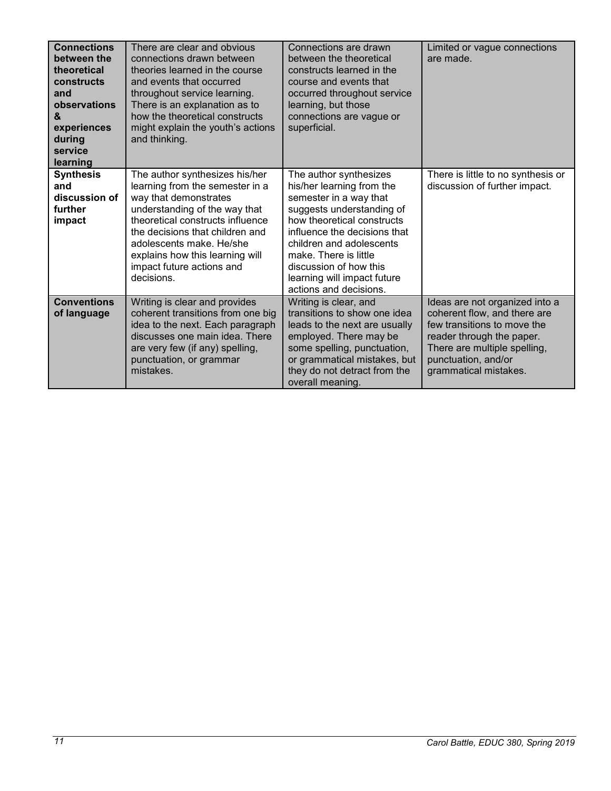| <b>Connections</b><br>between the<br>theoretical<br>constructs<br>and<br>observations<br>$\mathbf{g}$<br>experiences<br>during<br>service<br>learning | There are clear and obvious<br>connections drawn between<br>theories learned in the course<br>and events that occurred<br>throughout service learning.<br>There is an explanation as to<br>how the theoretical constructs<br>might explain the youth's actions<br>and thinking.                              | Connections are drawn<br>between the theoretical<br>constructs learned in the<br>course and events that<br>occurred throughout service<br>learning, but those<br>connections are vague or<br>superficial.                                                                                                        | Limited or vague connections<br>are made.                                                                                                                                                                  |
|-------------------------------------------------------------------------------------------------------------------------------------------------------|--------------------------------------------------------------------------------------------------------------------------------------------------------------------------------------------------------------------------------------------------------------------------------------------------------------|------------------------------------------------------------------------------------------------------------------------------------------------------------------------------------------------------------------------------------------------------------------------------------------------------------------|------------------------------------------------------------------------------------------------------------------------------------------------------------------------------------------------------------|
| <b>Synthesis</b><br>and<br>discussion of<br>further<br>impact                                                                                         | The author synthesizes his/her<br>learning from the semester in a<br>way that demonstrates<br>understanding of the way that<br>theoretical constructs influence<br>the decisions that children and<br>adolescents make. He/she<br>explains how this learning will<br>impact future actions and<br>decisions. | The author synthesizes<br>his/her learning from the<br>semester in a way that<br>suggests understanding of<br>how theoretical constructs<br>influence the decisions that<br>children and adolescents<br>make. There is little<br>discussion of how this<br>learning will impact future<br>actions and decisions. | There is little to no synthesis or<br>discussion of further impact.                                                                                                                                        |
| <b>Conventions</b><br>of language                                                                                                                     | Writing is clear and provides<br>coherent transitions from one big<br>idea to the next. Each paragraph<br>discusses one main idea. There<br>are very few (if any) spelling,<br>punctuation, or grammar<br>mistakes.                                                                                          | Writing is clear, and<br>transitions to show one idea<br>leads to the next are usually<br>employed. There may be<br>some spelling, punctuation,<br>or grammatical mistakes, but<br>they do not detract from the<br>overall meaning.                                                                              | Ideas are not organized into a<br>coherent flow, and there are<br>few transitions to move the<br>reader through the paper.<br>There are multiple spelling,<br>punctuation, and/or<br>grammatical mistakes. |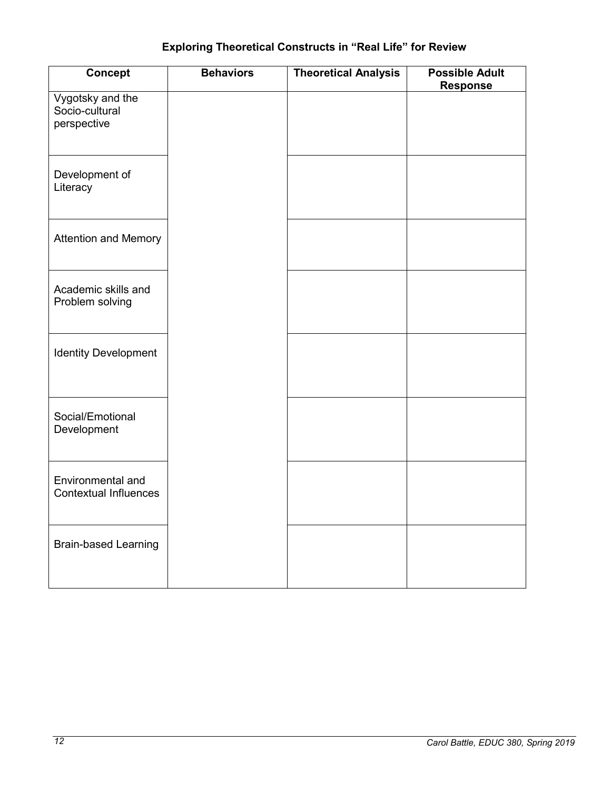# **Exploring Theoretical Constructs in "Real Life" for Review**

| Concept                                           | <b>Behaviors</b> | <b>Theoretical Analysis</b> | <b>Possible Adult</b><br><b>Response</b> |
|---------------------------------------------------|------------------|-----------------------------|------------------------------------------|
| Vygotsky and the<br>Socio-cultural<br>perspective |                  |                             |                                          |
| Development of<br>Literacy                        |                  |                             |                                          |
| <b>Attention and Memory</b>                       |                  |                             |                                          |
| Academic skills and<br>Problem solving            |                  |                             |                                          |
| <b>Identity Development</b>                       |                  |                             |                                          |
| Social/Emotional<br>Development                   |                  |                             |                                          |
| Environmental and<br><b>Contextual Influences</b> |                  |                             |                                          |
| <b>Brain-based Learning</b>                       |                  |                             |                                          |